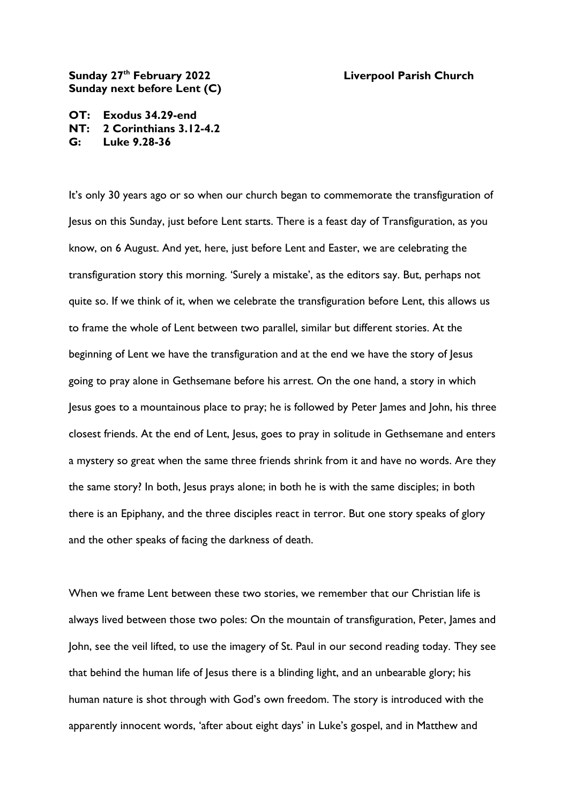## **Sunday 27th February 2022 Liverpool Parish Church Sunday next before Lent (C)**

**OT: Exodus 34.29-end NT: 2 Corinthians 3.12-4.2 G: Luke 9.28-36**

It's only 30 years ago or so when our church began to commemorate the transfiguration of Jesus on this Sunday, just before Lent starts. There is a feast day of Transfiguration, as you know, on 6 August. And yet, here, just before Lent and Easter, we are celebrating the transfiguration story this morning. 'Surely a mistake', as the editors say. But, perhaps not quite so. If we think of it, when we celebrate the transfiguration before Lent, this allows us to frame the whole of Lent between two parallel, similar but different stories. At the beginning of Lent we have the transfiguration and at the end we have the story of Jesus going to pray alone in Gethsemane before his arrest. On the one hand, a story in which Jesus goes to a mountainous place to pray; he is followed by Peter James and John, his three closest friends. At the end of Lent, Jesus, goes to pray in solitude in Gethsemane and enters a mystery so great when the same three friends shrink from it and have no words. Are they the same story? In both, Jesus prays alone; in both he is with the same disciples; in both there is an Epiphany, and the three disciples react in terror. But one story speaks of glory and the other speaks of facing the darkness of death.

When we frame Lent between these two stories, we remember that our Christian life is always lived between those two poles: On the mountain of transfiguration, Peter, James and John, see the veil lifted, to use the imagery of St. Paul in our second reading today. They see that behind the human life of Jesus there is a blinding light, and an unbearable glory; his human nature is shot through with God's own freedom. The story is introduced with the apparently innocent words, 'after about eight days' in Luke's gospel, and in Matthew and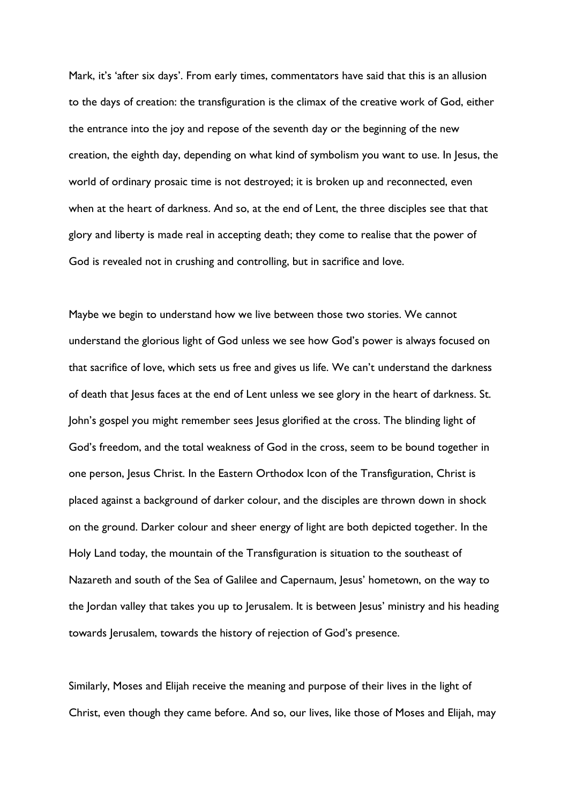Mark, it's 'after six days'. From early times, commentators have said that this is an allusion to the days of creation: the transfiguration is the climax of the creative work of God, either the entrance into the joy and repose of the seventh day or the beginning of the new creation, the eighth day, depending on what kind of symbolism you want to use. In Jesus, the world of ordinary prosaic time is not destroyed; it is broken up and reconnected, even when at the heart of darkness. And so, at the end of Lent, the three disciples see that that glory and liberty is made real in accepting death; they come to realise that the power of God is revealed not in crushing and controlling, but in sacrifice and love.

Maybe we begin to understand how we live between those two stories. We cannot understand the glorious light of God unless we see how God's power is always focused on that sacrifice of love, which sets us free and gives us life. We can't understand the darkness of death that Jesus faces at the end of Lent unless we see glory in the heart of darkness. St. John's gospel you might remember sees Jesus glorified at the cross. The blinding light of God's freedom, and the total weakness of God in the cross, seem to be bound together in one person, Jesus Christ. In the Eastern Orthodox Icon of the Transfiguration, Christ is placed against a background of darker colour, and the disciples are thrown down in shock on the ground. Darker colour and sheer energy of light are both depicted together. In the Holy Land today, the mountain of the Transfiguration is situation to the southeast of Nazareth and south of the Sea of Galilee and Capernaum, Jesus' hometown, on the way to the Jordan valley that takes you up to Jerusalem. It is between Jesus' ministry and his heading towards Jerusalem, towards the history of rejection of God's presence.

Similarly, Moses and Elijah receive the meaning and purpose of their lives in the light of Christ, even though they came before. And so, our lives, like those of Moses and Elijah, may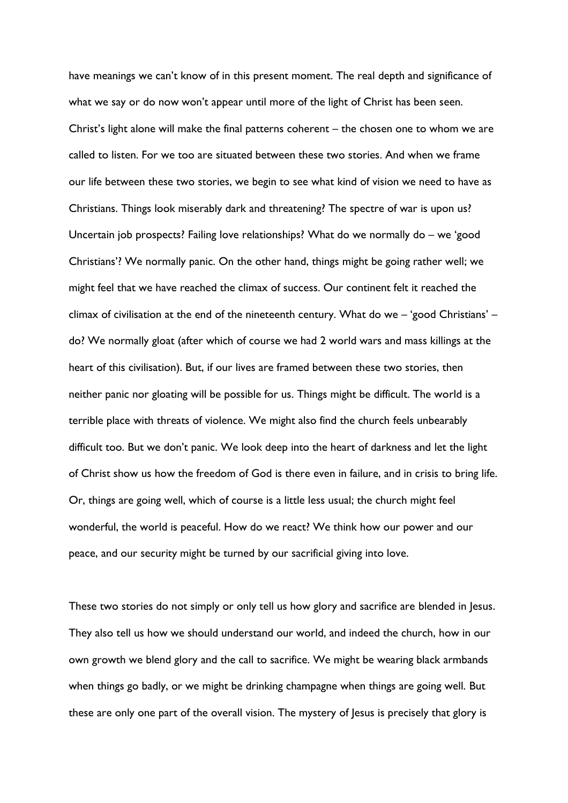have meanings we can't know of in this present moment. The real depth and significance of what we say or do now won't appear until more of the light of Christ has been seen. Christ's light alone will make the final patterns coherent – the chosen one to whom we are called to listen. For we too are situated between these two stories. And when we frame our life between these two stories, we begin to see what kind of vision we need to have as Christians. Things look miserably dark and threatening? The spectre of war is upon us? Uncertain job prospects? Failing love relationships? What do we normally do – we 'good Christians'? We normally panic. On the other hand, things might be going rather well; we might feel that we have reached the climax of success. Our continent felt it reached the climax of civilisation at the end of the nineteenth century. What do we – 'good Christians' – do? We normally gloat (after which of course we had 2 world wars and mass killings at the heart of this civilisation). But, if our lives are framed between these two stories, then neither panic nor gloating will be possible for us. Things might be difficult. The world is a terrible place with threats of violence. We might also find the church feels unbearably difficult too. But we don't panic. We look deep into the heart of darkness and let the light of Christ show us how the freedom of God is there even in failure, and in crisis to bring life. Or, things are going well, which of course is a little less usual; the church might feel wonderful, the world is peaceful. How do we react? We think how our power and our peace, and our security might be turned by our sacrificial giving into love.

These two stories do not simply or only tell us how glory and sacrifice are blended in Jesus. They also tell us how we should understand our world, and indeed the church, how in our own growth we blend glory and the call to sacrifice. We might be wearing black armbands when things go badly, or we might be drinking champagne when things are going well. But these are only one part of the overall vision. The mystery of Jesus is precisely that glory is